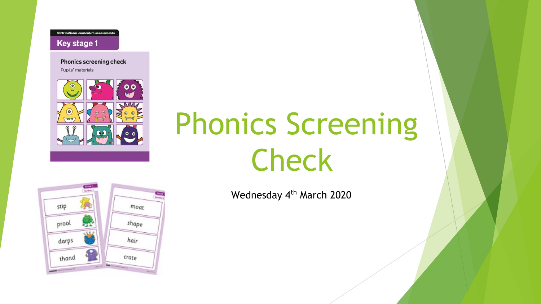2017 national curriculum assessments

#### **Key stage 1**

**Phonics screening check** Pupils' materials



# Phonics Screening Check

Wednesday 4<sup>th</sup> March 2020

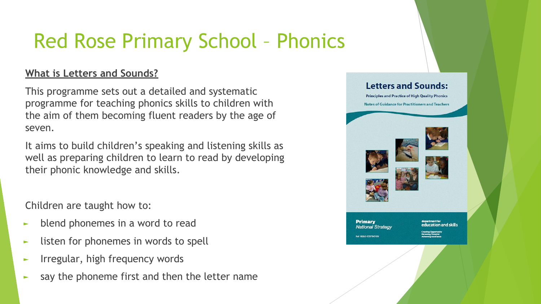## Red Rose Primary School – Phonics

### **What is Letters and Sounds?**

This programme sets out a detailed and systematic programme for teaching phonics skills to children with the aim of them becoming fluent readers by the age of seven.

It aims to build children's speaking and listening skills as well as preparing children to learn to read by developing their phonic knowledge and skills.

Children are taught how to:

- ► blend phonemes in a word to read
- ► listen for phonemes in words to spell
- ► Irregular, high frequency words
- ► say the phoneme first and then the letter name

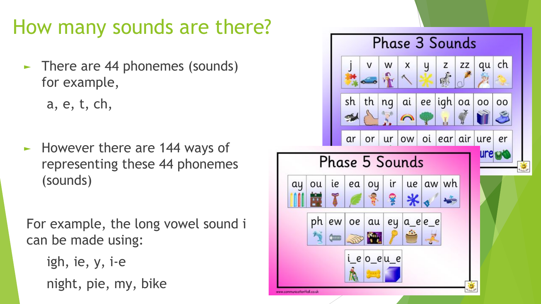### How many sounds are there?

► There are 44 phonemes (sounds) for example,

a, e, t, ch,

► However there are 144 ways of representing these 44 phonemes (sounds)

For example, the long vowel sound i can be made using:

igh, ie, y, i-e night, pie, my, bike

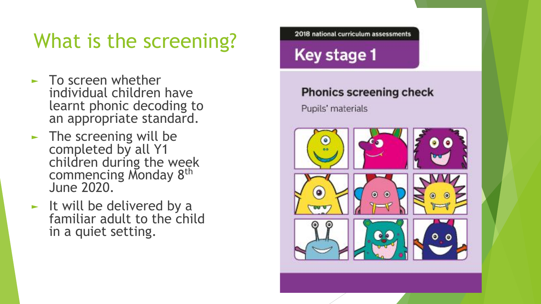## What is the screening?

- ► To screen whether individual children have learnt phonic decoding to an appropriate standard.
- $\blacktriangleright$  The screening will be completed by all Y1 children during the week commencing Monday 8<sup>th</sup> June 2020.
- ► It will be delivered by a familiar adult to the child in a quiet setting.

2018 national curriculum assessments

### Key stage 1

### **Phonics screening check**

Pupils' materials

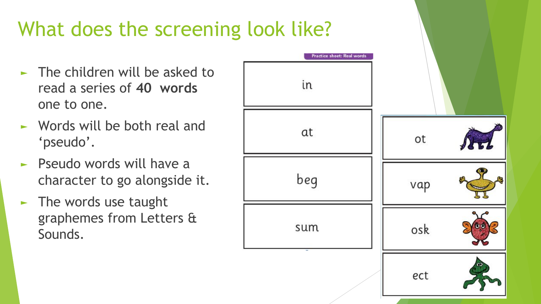# What does the screening look like?

- $\blacktriangleright$  The children will be asked to read a series of **40 words** one to one.
- ► Words will be both real and 'pseudo'.
- ► Pseudo words will have a character to go alongside it.
- $\blacktriangleright$  The words use taught graphemes from Letters & Sounds.

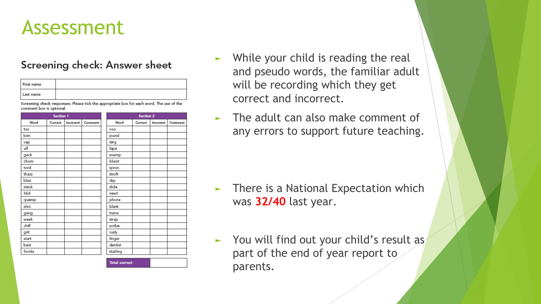### Assessment

### Screening check: Answer sheet

| First name |  |
|------------|--|
| Last name  |  |

Screening check responses: Please tick the appropriate box for each word. The use of the comment box is optional

| <b>Section 1</b> |         |           |         | <b>Section 2</b> |         |           |         |
|------------------|---------|-----------|---------|------------------|---------|-----------|---------|
| Word             | Correct | Incorrect | Comment | Word             | Correct | Incorrect | Comment |
| tox              |         |           |         | <b>VOO</b>       |         |           |         |
| bim              |         |           |         | jound            |         |           |         |
| vap              |         |           |         | terg             |         |           |         |
| ulf              |         |           |         | fape             |         |           |         |
| geck             |         |           |         | snemp            |         |           |         |
| chom             |         |           |         | blurst           |         |           |         |
| tord             |         |           |         | spron            |         |           |         |
| thazz            |         |           |         | stroft           |         |           |         |
| blan             |         |           |         | day              |         |           |         |
| steck            |         |           |         | slide            |         |           |         |
| hild             |         |           |         | newt             |         |           |         |
| quemp            |         |           |         | phone            |         |           |         |
| shin             |         |           |         | blank            |         |           |         |
| gang             |         |           |         | trains           |         |           |         |
| week             |         |           |         | strap            |         |           |         |
| chill            |         |           |         | scribe           |         |           |         |
| grit             |         |           |         | rusty            |         |           |         |
| start            |         |           |         | finger           |         |           |         |
| best             |         |           |         | dentist          |         |           |         |
| hooks            |         |           |         | starling         |         |           |         |

Total correct

- While your child is reading the real and pseudo words, the familiar adult will be recording which they get correct and incorrect.
- The adult can also make comment of any errors to support future teaching.

- There is a National Expectation which was **32/40** last year.
- ► You will find out your child's result as part of the end of year report to parents.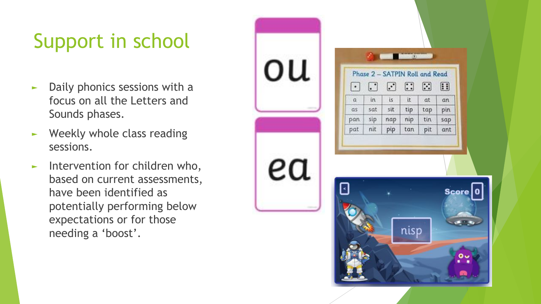# Support in school

- ► Daily phonics sessions with a focus on all the Letters and Sounds phases.
- ► Weekly whole class reading sessions.
- ► Intervention for children who, based on current assessments, have been identified as potentially performing below expectations or for those needing a 'boost'.

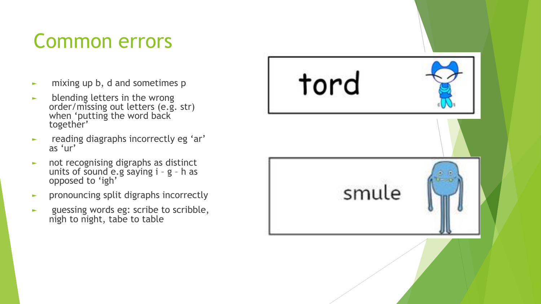### Common errors

- ► mixing up b, d and sometimes p
- ► blending letters in the wrong order/missing out letters (e.g. str) when 'putting the word back together'
- ► reading diagraphs incorrectly eg 'ar' as 'ur'
- ► not recognising digraphs as distinct units of sound e.g saying i – g – h as opposed to 'igh'
- ► pronouncing split digraphs incorrectly
- ► guessing words eg: scribe to scribble, nigh to night, tabe to table